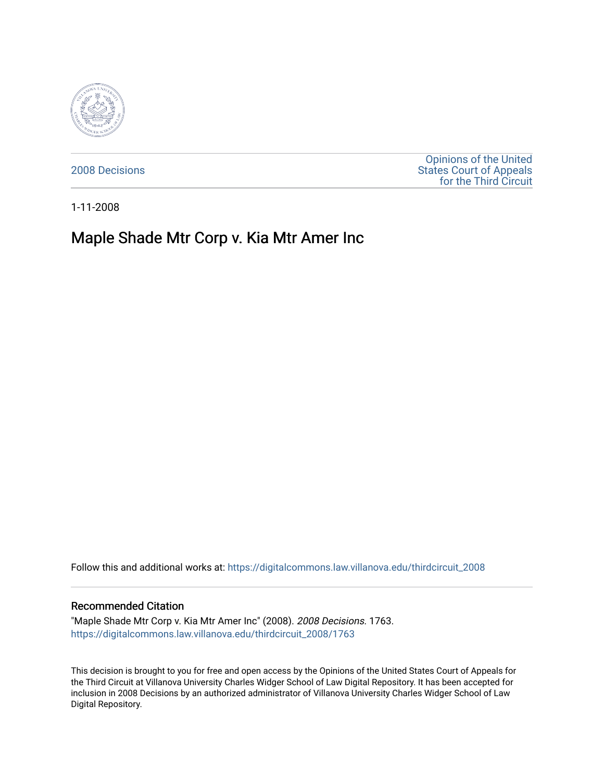

[2008 Decisions](https://digitalcommons.law.villanova.edu/thirdcircuit_2008)

[Opinions of the United](https://digitalcommons.law.villanova.edu/thirdcircuit)  [States Court of Appeals](https://digitalcommons.law.villanova.edu/thirdcircuit)  [for the Third Circuit](https://digitalcommons.law.villanova.edu/thirdcircuit) 

1-11-2008

# Maple Shade Mtr Corp v. Kia Mtr Amer Inc

Follow this and additional works at: [https://digitalcommons.law.villanova.edu/thirdcircuit\\_2008](https://digitalcommons.law.villanova.edu/thirdcircuit_2008?utm_source=digitalcommons.law.villanova.edu%2Fthirdcircuit_2008%2F1763&utm_medium=PDF&utm_campaign=PDFCoverPages) 

#### Recommended Citation

"Maple Shade Mtr Corp v. Kia Mtr Amer Inc" (2008). 2008 Decisions. 1763. [https://digitalcommons.law.villanova.edu/thirdcircuit\\_2008/1763](https://digitalcommons.law.villanova.edu/thirdcircuit_2008/1763?utm_source=digitalcommons.law.villanova.edu%2Fthirdcircuit_2008%2F1763&utm_medium=PDF&utm_campaign=PDFCoverPages) 

This decision is brought to you for free and open access by the Opinions of the United States Court of Appeals for the Third Circuit at Villanova University Charles Widger School of Law Digital Repository. It has been accepted for inclusion in 2008 Decisions by an authorized administrator of Villanova University Charles Widger School of Law Digital Repository.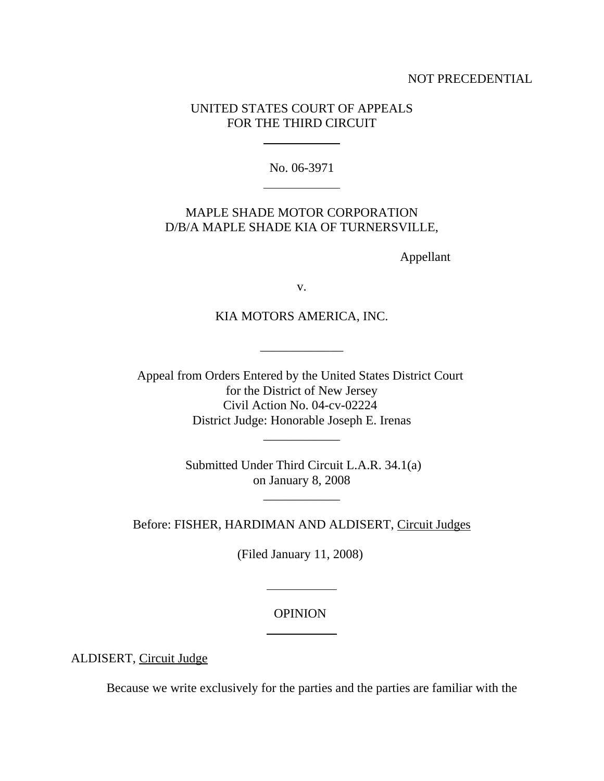### NOT PRECEDENTIAL

### UNITED STATES COURT OF APPEALS FOR THE THIRD CIRCUIT

l

 $\overline{a}$ 

No. 06-3971

## MAPLE SHADE MOTOR CORPORATION D/B/A MAPLE SHADE KIA OF TURNERSVILLE,

Appellant

v.

### KIA MOTORS AMERICA, INC.

\_\_\_\_\_\_\_\_\_\_\_\_\_

Appeal from Orders Entered by the United States District Court for the District of New Jersey Civil Action No. 04-cv-02224 District Judge: Honorable Joseph E. Irenas

> Submitted Under Third Circuit L.A.R. 34.1(a) on January 8, 2008

> > \_\_\_\_\_\_\_\_\_\_\_\_

\_\_\_\_\_\_\_\_\_\_\_\_

Before: FISHER, HARDIMAN AND ALDISERT, Circuit Judges

(Filed January 11, 2008)

### **OPINION**

 $\ddot{\phantom{a}}$ 

 $\overline{a}$ 

ALDISERT, Circuit Judge

Because we write exclusively for the parties and the parties are familiar with the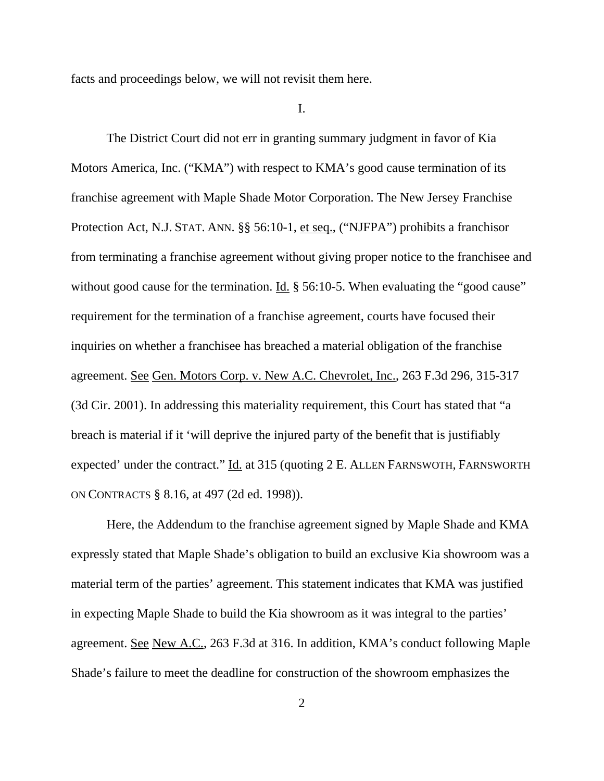facts and proceedings below, we will not revisit them here.

I.

The District Court did not err in granting summary judgment in favor of Kia Motors America, Inc. ("KMA") with respect to KMA's good cause termination of its franchise agreement with Maple Shade Motor Corporation. The New Jersey Franchise Protection Act, N.J. STAT. ANN. §§ 56:10-1, et seq., ("NJFPA") prohibits a franchisor from terminating a franchise agreement without giving proper notice to the franchisee and without good cause for the termination. Id.  $\S$  56:10-5. When evaluating the "good cause" requirement for the termination of a franchise agreement, courts have focused their inquiries on whether a franchisee has breached a material obligation of the franchise agreement. See Gen. Motors Corp. v. New A.C. Chevrolet, Inc., 263 F.3d 296, 315-317 (3d Cir. 2001). In addressing this materiality requirement, this Court has stated that "a breach is material if it 'will deprive the injured party of the benefit that is justifiably expected' under the contract." Id. at 315 (quoting 2 E. ALLEN FARNSWOTH, FARNSWORTH ON CONTRACTS § 8.16, at 497 (2d ed. 1998)).

Here, the Addendum to the franchise agreement signed by Maple Shade and KMA expressly stated that Maple Shade's obligation to build an exclusive Kia showroom was a material term of the parties' agreement. This statement indicates that KMA was justified in expecting Maple Shade to build the Kia showroom as it was integral to the parties' agreement. See New A.C., 263 F.3d at 316. In addition, KMA's conduct following Maple Shade's failure to meet the deadline for construction of the showroom emphasizes the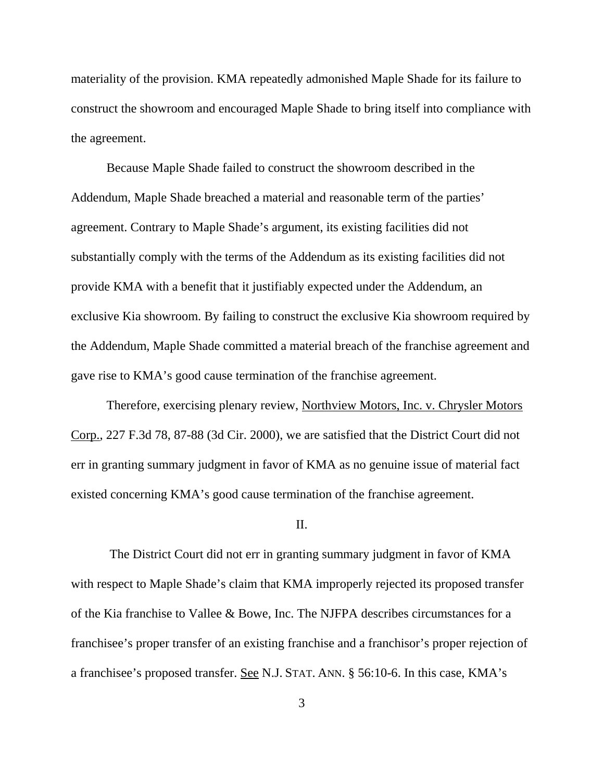materiality of the provision. KMA repeatedly admonished Maple Shade for its failure to construct the showroom and encouraged Maple Shade to bring itself into compliance with the agreement.

Because Maple Shade failed to construct the showroom described in the Addendum, Maple Shade breached a material and reasonable term of the parties' agreement. Contrary to Maple Shade's argument, its existing facilities did not substantially comply with the terms of the Addendum as its existing facilities did not provide KMA with a benefit that it justifiably expected under the Addendum, an exclusive Kia showroom. By failing to construct the exclusive Kia showroom required by the Addendum, Maple Shade committed a material breach of the franchise agreement and gave rise to KMA's good cause termination of the franchise agreement.

Therefore, exercising plenary review, Northview Motors, Inc. v. Chrysler Motors Corp., 227 F.3d 78, 87-88 (3d Cir. 2000), we are satisfied that the District Court did not err in granting summary judgment in favor of KMA as no genuine issue of material fact existed concerning KMA's good cause termination of the franchise agreement.

#### II.

 The District Court did not err in granting summary judgment in favor of KMA with respect to Maple Shade's claim that KMA improperly rejected its proposed transfer of the Kia franchise to Vallee & Bowe, Inc. The NJFPA describes circumstances for a franchisee's proper transfer of an existing franchise and a franchisor's proper rejection of a franchisee's proposed transfer. See N.J. STAT. ANN. § 56:10-6. In this case, KMA's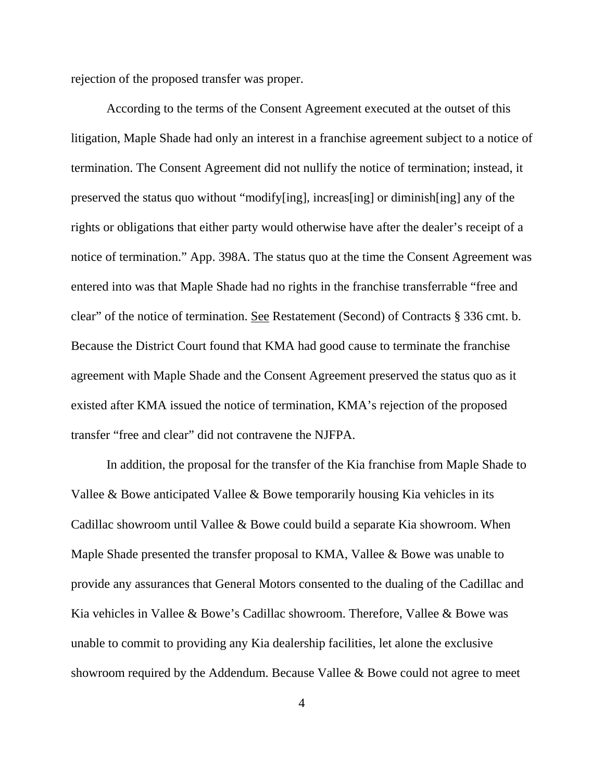rejection of the proposed transfer was proper.

According to the terms of the Consent Agreement executed at the outset of this litigation, Maple Shade had only an interest in a franchise agreement subject to a notice of termination. The Consent Agreement did not nullify the notice of termination; instead, it preserved the status quo without "modify[ing], increas[ing] or diminish[ing] any of the rights or obligations that either party would otherwise have after the dealer's receipt of a notice of termination." App. 398A. The status quo at the time the Consent Agreement was entered into was that Maple Shade had no rights in the franchise transferrable "free and clear" of the notice of termination. See Restatement (Second) of Contracts § 336 cmt. b. Because the District Court found that KMA had good cause to terminate the franchise agreement with Maple Shade and the Consent Agreement preserved the status quo as it existed after KMA issued the notice of termination, KMA's rejection of the proposed transfer "free and clear" did not contravene the NJFPA.

In addition, the proposal for the transfer of the Kia franchise from Maple Shade to Vallee & Bowe anticipated Vallee & Bowe temporarily housing Kia vehicles in its Cadillac showroom until Vallee & Bowe could build a separate Kia showroom. When Maple Shade presented the transfer proposal to KMA, Vallee & Bowe was unable to provide any assurances that General Motors consented to the dualing of the Cadillac and Kia vehicles in Vallee & Bowe's Cadillac showroom. Therefore, Vallee & Bowe was unable to commit to providing any Kia dealership facilities, let alone the exclusive showroom required by the Addendum. Because Vallee & Bowe could not agree to meet